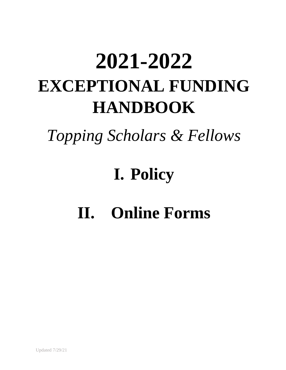# **2021-2022 EXCEPTIONAL FUNDING HANDBOOK**

*Topping Scholars & Fellows*

## **I. Policy**

## **II. Online Forms**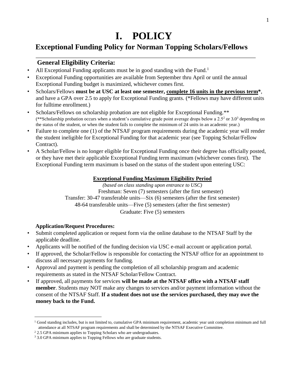### **I. POLICY**

#### **Exceptional Funding Policy for Norman Topping Scholars/Fellows**

#### **General Eligibility Criteria:**

- All Exceptional Funding applicants must be in good standing with the Fund.<sup>1</sup>
- Exceptional Funding opportunities are available from September thru April or until the annual Exceptional Funding budget is maximized, whichever comes first.
- Scholars/Fellows **must be at USC at least one semester, complete 16 units in the previous term\***, and have a GPA over 2.5 to apply for Exceptional Funding grants. (\*Fellows may have different units for fulltime enrollment.)
- Scholars/Fellows on scholarship probation are not eligible for Exceptional Funding.\*\* (\*\*Scholarship probation occurs when a student's cumulative grade point average drops below a 2.5<sup>2</sup> or 3.0<sup>3</sup> depending on the status of the student, or when the student fails to complete the minimum of 24 units in an academic year.)
- Failure to complete one (1) of the NTSAF program requirements during the academic year will render the student ineligible for Exceptional Funding for that academic year (see Topping Scholar/Fellow Contract).
- A Scholar/Fellow is no longer eligible for Exceptional Funding once their degree has officially posted, or they have met their applicable Exceptional Funding term maximum (whichever comes first). The Exceptional Funding term maximum is based on the status of the student upon entering USC:

#### **Exceptional Funding Maximum Eligibility Period**

*(based on class standing upon entrance to USC)* Freshman: Seven (7) semesters (after the first semester) Transfer: 30-47 transferable units—Six (6) semesters (after the first semester) 48-64 transferable units—Five (5) semesters (after the first semester) Graduate: Five (5) semesters

#### **Application/Request Procedures:**

 $\overline{a}$ 

- Submit completed application or request form via the online database to the NTSAF Staff by the applicable deadline.
- Applicants will be notified of the funding decision via USC e-mail account or application portal.
- If approved, the Scholar/Fellow is responsible for contacting the NTSAF office for an appointment to discuss all necessary payments for funding.
- Approval and payment is pending the completion of all scholarship program and academic requirements as stated in the NTSAF Scholar/Fellow Contract.
- If approved, all payments for services **will be made at the NTSAF office with a NTSAF staff member**. Students may NOT make any changes to services and/or payment information without the consent of the NTSAF Staff. **If a student does not use the services purchased, they may owe the money back to the Fund.**

 $1$  Good standing includes, but is not limited to, cumulative GPA minimum requirement, academic year unit completion minimum and full attendance at all NTSAF program requirements and shall be determined by the NTSAF Executive Committee.

 $2$  2.5 GPA minimum applies to Topping Scholars who are undergraduates.

<sup>&</sup>lt;sup>3</sup> 3.0 GPA minimum applies to Topping Fellows who are graduate students.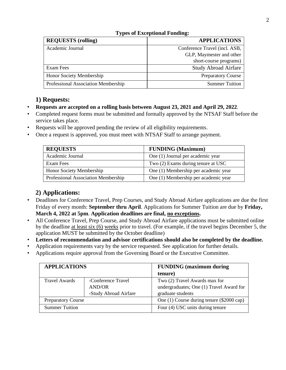| <b>REQUESTS</b> (rolling)           | <b>APPLICATIONS</b>           |
|-------------------------------------|-------------------------------|
| Academic Journal                    | Conference Travel (incl. ASB, |
|                                     | GLP, Maymester and other      |
|                                     | short-course programs)        |
| Exam Fees                           | <b>Study Abroad Airfare</b>   |
| Honor Society Membership            | <b>Preparatory Course</b>     |
| Professional Association Membership | <b>Summer Tuition</b>         |

#### **Types of Exceptional Funding:**

#### **1) Requests:**

- **Requests are accepted on a rolling basis between August 23, 2021 and April 29, 2022***.*
- Completed request forms must be submitted and formally approved by the NTSAF Staff before the service takes place.
- Requests will be approved pending the review of all eligibility requirements.
- Once a request is approved, you must meet with NTSAF Staff to arrange payment.

| <b>REQUESTS</b>                     | <b>FUNDING</b> (Maximum)             |
|-------------------------------------|--------------------------------------|
| Academic Journal                    | One (1) Journal per academic year    |
| Exam Fees                           | Two (2) Exams during tenure at USC   |
| Honor Society Membership            | One (1) Membership per academic year |
| Professional Association Membership | One (1) Membership per academic year |

#### **2) Applications:**

- Deadlines for Conference Travel, Prep Courses, and Study Abroad Airfare applications are due the first Friday of every month: **September thru April**. Applications for Summer Tuition are due by **Friday, March 4, 2022 at 5pm**. **Application deadlines are final, no exceptions.**
- All Conference Travel, Prep Course, and Study Abroad Airfare applications must be submitted online by the deadline at least six (6) weeks prior to travel. (For example, if the travel begins December 5, the application MUST be submitted by the October deadline)
- **Letters of recommendation and advisor certifications should also be completed by the deadline.**
- Application requirements vary by the service requested. See application for further details.
- Applications require approval from the Governing Board or the Executive Committee.

| <b>APPLICATIONS</b>       |                       | <b>FUNDING</b> (maximum during<br>tenure) |
|---------------------------|-----------------------|-------------------------------------------|
| <b>Travel Awards</b>      | -Conference Travel    | Two (2) Travel Awards max for             |
|                           | <b>AND/OR</b>         | undergraduates; One (1) Travel Award for  |
|                           | -Study Abroad Airfare | graduate students                         |
| <b>Preparatory Course</b> |                       | One (1) Course during tenure (\$2000 cap) |
| <b>Summer Tuition</b>     |                       | Four (4) USC units during tenure          |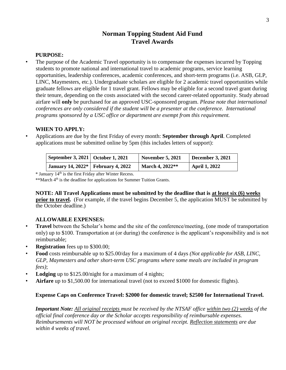#### **Norman Topping Student Aid Fund Travel Awards**

#### **PURPOSE:**

• The purpose of the Academic Travel opportunity is to compensate the expenses incurred by Topping students to promote national and international travel to academic programs, service learning opportunities, leadership conferences, academic conferences, and short-term programs (i.e. ASB, GLP, LINC, Maymesters, etc.). Undergraduate scholars are eligible for 2 academic travel opportunities while graduate fellows are eligible for 1 travel grant. Fellows may be eligible for a second travel grant during their tenure, depending on the costs associated with the second career-related opportunity. Study abroad airfare will **only** be purchased for an approved USC-sponsored program. *Please note that international conferences are only considered if the student will be a presenter at the conference. International programs sponsored by a USC office or department are exempt from this requirement.* 

#### **WHEN TO APPLY:**

• Applications are due by the first Friday of every month: **September through April**. Completed applications must be submitted online by 5pm (this includes letters of support):

| September 3, 2021   October 1, 2021  | <b>November 5, 2021</b> | December 3, $2021$   |
|--------------------------------------|-------------------------|----------------------|
| January 14, 2022*   February 4, 2022 | March 4, 2022**         | <b>April 1, 2022</b> |

\* January 14 th is the first Friday after Winter Recess.

\*\*March 4<sup>th</sup> is the deadline for applications for Summer Tuition Grants.

**NOTE: All Travel Applications must be submitted by the deadline that is at least six (6) weeks prior to travel.** (For example, if the travel begins December 5, the application MUST be submitted by the October deadline.)

#### **ALLOWABLE EXPENSES:**

- **Travel** between the Scholar's home and the site of the conference/meeting, (one mode of transportation only) up to \$100. Transportation at (or during) the conference is the applicant's responsibility and is not reimbursable;
- **Registration** fees up to \$300.00;
- **Food** costs reimbursable up to \$25.00/day for a maximum of 4 days *(Not applicable for ASB, LINC, GLP, Maymesters and other short-term USC programs where some meals are included in program fees)*;
- **Lodging** up to \$125.00/night for a maximum of 4 nights;
- **Airfare** up to \$1,500.00 for international travel (not to exceed \$1000 for domestic flights).

#### **Expense Caps on Conference Travel: \$2000 for domestic travel; \$2500 for International Travel.**

*Important Note: All original receipts must be received by the NTSAF office within two (2) weeks of the official final conference day or the Scholar accepts responsibility of reimbursable expenses. Reimbursements will NOT be processed without an original receipt. Reflection statements are due within 4 weeks of travel.*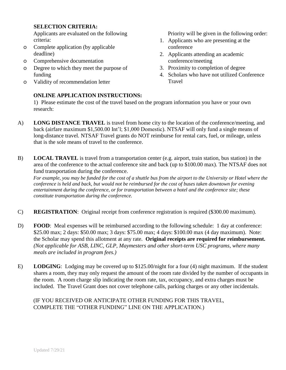#### **SELECTION CRITERIA:**

Applicants are evaluated on the following criteria:

- o Complete application (by applicable deadline)
- o Comprehensive documentation
- o Degree to which they meet the purpose of funding
- o Validity of recommendation letter

#### **ONLINE APPLICATION INSTRUCTIONS:**

Priority will be given in the following order:

- 1. Applicants who are presenting at the conference
- 2. Applicants attending an academic conference/meeting
- 3. Proximity to completion of degree
- 4. Scholars who have not utilized Conference Travel

1) Please estimate the cost of the travel based on the program information you have or your own research:

- A) **LONG DISTANCE TRAVEL** is travel from home city to the location of the conference/meeting, and back (airfare maximum \$1,500.00 Int'l; \$1,000 Domestic). NTSAF will only fund a single means of long-distance travel. NTSAF Travel grants do NOT reimburse for rental cars, fuel, or mileage, unless that is the sole means of travel to the conference.
- B) **LOCAL TRAVEL** is travel from a transportation center (e.g. airport, train station, bus station) in the area of the conference to the actual conference site and back (up to \$100.00 max). The NTSAF does not fund transportation during the conference.

*For example, you may be funded for the cost of a shuttle bus from the airport to the University or Hotel where the conference is held and back, but would not be reimbursed for the cost of buses taken downtown for evening entertainment during the conference, or for transportation between a hotel and the conference site; these constitute transportation during the conference.* 

- C) **REGISTRATION**: Original receipt from conference registration is required (\$300.00 maximum).
- D) **FOOD**: Meal expenses will be reimbursed according to the following schedule: 1 day at conference: \$25.00 max; 2 days: \$50.00 max; 3 days: \$75.00 max; 4 days: \$100.00 max (4 day maximum). Note: the Scholar may spend this allotment at any rate. **Original receipts are required for reimbursement.** *(Not applicable for ASB, LINC, GLP, Maymesters and other short-term USC programs, where many meals are included in program fees.)*
- E) **LODGING**: Lodging may be covered up to \$125.00/night for a four (4) night maximum. If the student shares a room, they may only request the amount of the room rate divided by the number of occupants in the room. A room charge slip indicating the room rate, tax, occupancy, and extra charges must be included. The Travel Grant does not cover telephone calls, parking charges or any other incidentals.

#### (IF YOU RECEIVED OR ANTICIPATE OTHER FUNDING FOR THIS TRAVEL, COMPLETE THE "OTHER FUNDING" LINE ON THE APPLICATION.)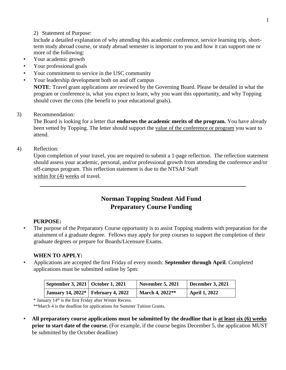#### 2) Statement of Purpose:

Include a detailed explanation of why attending this academic conference, service learning trip, shortterm study abroad course, or study abroad semester is important to you and how it can support one or more of the following:

- Your academic growth
- Your professional goals
- Your commitment to service in the USC community
- Your leadership development both on and off campus **NOTE**: Travel grant applications are reviewed by the Governing Board. Please be detailed in what the program or conference is, what you expect to learn, why you want this opportunity, and why Topping should cover the costs (the benefit to your educational goals).
- 3) Recommendation:

The Board is looking for a letter that **endorses the academic merits of the program.** You have already been vetted by Topping. The letter should support the value of the conference or program you want to attend.

4) Reflection:

Upon completion of your travel, you are required to submit a 1-page reflection. The reflection statement should assess your academic, personal, and/or professional growth from attending the conference and/or off-campus program. This reflection statement is due to the NTSAF Staff within for (4) weeks of travel.

**\_\_\_\_\_\_\_\_\_\_\_\_\_\_\_\_\_\_\_\_\_\_\_\_\_\_\_\_\_\_\_\_\_\_\_\_\_\_\_\_\_\_\_\_\_\_\_\_\_\_\_\_\_\_\_\_\_\_\_\_\_\_\_**

#### **Norman Topping Student Aid Fund Preparatory Course Funding**

#### **PURPOSE:**

The purpose of the Preparatory Course opportunity is to assist Topping students with preparation for the attainment of a graduate degree. Fellows may apply for prep courses to support the completion of their graduate degrees or prepare for Boards/Licensure Exams.

#### **WHEN TO APPLY:**

• Applications are accepted the first Friday of every month: **September through April**. Completed applications must be submitted online by 5pm:

| September 3, 2021   October 1, 2021  | <b>November 5, 2021</b> | December 3, 2021 |
|--------------------------------------|-------------------------|------------------|
| January 14, 2022*   February 4, 2022 | March 4, 2022**         | April 1, 2022    |

\* January 14 th is the first Friday after Winter Recess.

\*\*March 4 is the deadline for applications for Summer Tuition Grants.

• **All preparatory course applications must be submitted by the deadline that is at least six (6) weeks prior to start date of the course.** (For example, if the course begins December 5, the application MUST be submitted by the October deadline)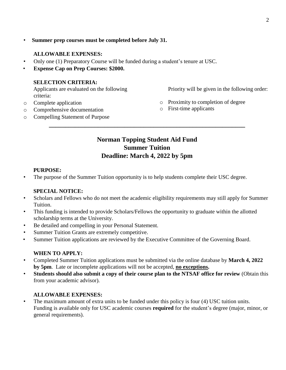• **Summer prep courses must be completed before July 31.**

#### **ALLOWABLE EXPENSES:**

- Only one (1) Preparatory Course will be funded during a student's tenure at USC.
- **Expense Cap on Prep Courses: \$2000.**

#### **SELECTION CRITERIA:**

Applicants are evaluated on the following criteria:

Priority will be given in the following order:

- o Complete application
- o Comprehensive documentation
- o Compelling Statement of Purpose
- o Proximity to completion of degree
- o First-time applicants

#### **Norman Topping Student Aid Fund Summer Tuition Deadline: March 4, 2022 by 5pm**

**\_\_\_\_\_\_\_\_\_\_\_\_\_\_\_\_\_\_\_\_\_\_\_\_\_\_\_\_\_\_\_\_\_\_\_\_\_\_\_\_\_\_\_\_\_\_\_\_\_\_\_\_\_\_\_\_\_\_\_\_**

#### **PURPOSE:**

• The purpose of the Summer Tuition opportunity is to help students complete their USC degree.

#### **SPECIAL NOTICE:**

- Scholars and Fellows who do not meet the academic eligibility requirements may still apply for Summer Tuition.
- This funding is intended to provide Scholars/Fellows the opportunity to graduate within the allotted scholarship terms at the University.
- Be detailed and compelling in your Personal Statement.
- Summer Tuition Grants are extremely competitive.
- Summer Tuition applications are reviewed by the Executive Committee of the Governing Board.

#### **WHEN TO APPLY:**

- Completed Summer Tuition applications must be submitted via the online database by **March 4, 2022 by 5pm**. Late or incomplete applications will not be accepted, **no exceptions.**
- **Students should also submit a copy of their course plan to the NTSAF office for review** (Obtain this from your academic advisor).

#### **ALLOWABLE EXPENSES:**

• The maximum amount of extra units to be funded under this policy is four (4) USC tuition units. Funding is available only for USC academic courses **required** for the student's degree (major, minor, or general requirements).